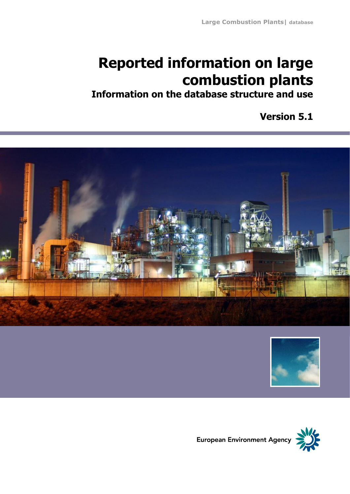# **Reported information on large combustion plants**

**Information on the database structure and use**

**Version 5.1**





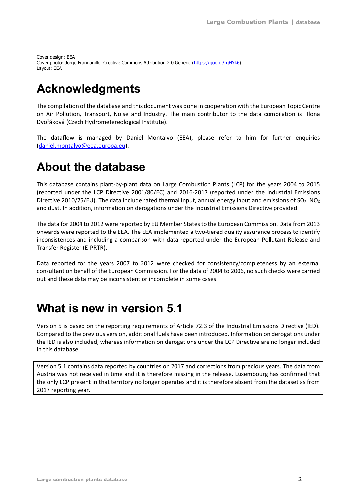Cover design: EEA Cover photo: Jorge Franganillo, Creative Commons Attribution 2.0 Generic [\(https://goo.gl/rqHYk6\)](https://goo.gl/rqHYk6) Layout: EEA

## <span id="page-1-0"></span>**Acknowledgments**

The compilation of the database and this document was done in cooperation with the European Topic Centre on Air Pollution, Transport, Noise and Industry. The main contributor to the data compilation is Ilona Dvořáková (Czech Hydrometereological Institute).

The dataflow is managed by Daniel Montalvo (EEA), please refer to him for further enquiries [\(daniel.montalvo@eea.europa.eu\)](mailto:daniel.montalvo@eea.europa.eu).

## <span id="page-1-1"></span>**About the database**

This database contains plant-by-plant data on Large Combustion Plants (LCP) for the years 2004 to 2015 (reported under the LCP Directive 2001/80/EC) and 2016-2017 (reported under the Industrial Emissions Directive 2010/75/EU). The data include rated thermal input, annual energy input and emissions of SO<sub>2</sub>, NO<sub>x</sub> and dust. In addition, information on derogations under the Industrial Emissions Directive provided.

The data for 2004 to 2012 were reported by EU Member States to the European Commission. Data from 2013 onwards were reported to the EEA. The EEA implemented a two-tiered quality assurance process to identify inconsistences and including a comparison with data reported under the European Pollutant Release and Transfer Register (E-PRTR).

Data reported for the years 2007 to 2012 were checked for consistency/completeness by an external consultant on behalf of the European Commission. For the data of 2004 to 2006, no such checks were carried out and these data may be inconsistent or incomplete in some cases.

## <span id="page-1-2"></span>**What is new in version 5.1**

Version 5 is based on the reporting requirements of Article 72.3 of the Industrial Emissions Directive (IED). Compared to the previous version, additional fuels have been introduced. Information on derogations under the IED is also included, whereas information on derogations under the LCP Directive are no longer included in this database.

Version 5.1 contains data reported by countries on 2017 and corrections from precious years. The data from Austria was not received in time and it is therefore missing in the release. Luxembourg has confirmed that the only LCP present in that territory no longer operates and it is therefore absent from the dataset as from 2017 reporting year.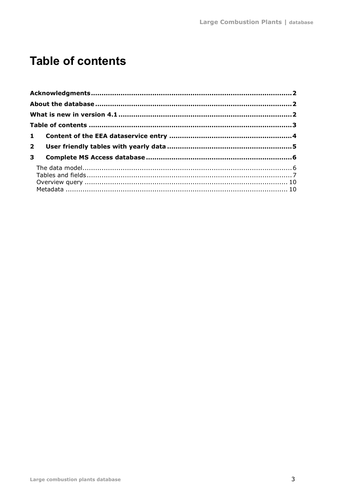## <span id="page-2-0"></span>**Table of contents**

| 2 <sup>7</sup> |  |  |  |  |  |  |
|----------------|--|--|--|--|--|--|
| $\mathbf{3}$   |  |  |  |  |  |  |
|                |  |  |  |  |  |  |
|                |  |  |  |  |  |  |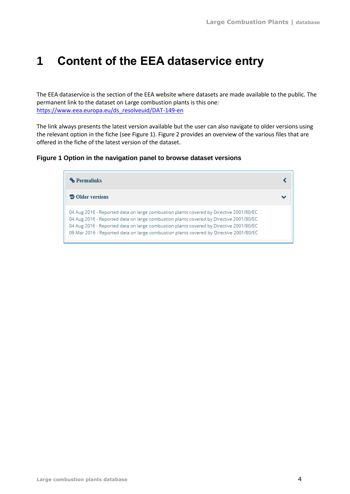## <span id="page-3-0"></span>**1 Content of the EEA dataservice entry**

The EEA dataservice is the section of the EEA website where datasets are made available to the public. The permanent link to the dataset on Large combustion plants is this one: [https://www.eea.europa.eu/ds\\_resolveuid/DAT-149-en](https://www.eea.europa.eu/ds_resolveuid/DAT-149-en)

The link always presents the latest version available but the user can also navigate to older versions using the relevant option in the fiche (see Figure 1). Figure 2 provides an overview of the various files that are offered in the fiche of the latest version of the dataset.

#### **Figure 1 Option in the navigation panel to browse dataset versions**

| <b>% Permalinks</b>                                                                                                                                                                                                                                                                                                                                                  |  |
|----------------------------------------------------------------------------------------------------------------------------------------------------------------------------------------------------------------------------------------------------------------------------------------------------------------------------------------------------------------------|--|
| <b>D</b> Older versions                                                                                                                                                                                                                                                                                                                                              |  |
| 04 Aug 2016 - Reported data on large combustion plants covered by Directive 2001/80/EC<br>04 Aug 2016 - Reported data on large combustion plants covered by Directive 2001/80/EC<br>04 Aug 2016 - Reported data on large combustion plants covered by Directive 2001/80/EC<br>09 Mar 2016 - Reported data on large combustion plants covered by Directive 2001/80/EC |  |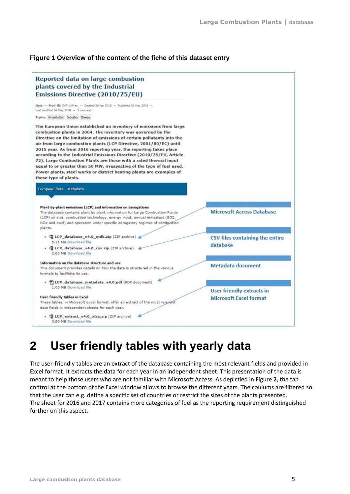### **Figure 1 Overview of the content of the fiche of this dataset entry**



## <span id="page-4-0"></span>**2 User friendly tables with yearly data**

The user-friendly tables are an extract of the database containing the most relevant fields and provided in Excel format. It extracts the data for each year in an independent sheet. This presentation of the data is meant to help those users who are not familiar with Microsoft Access. As depictied in [Figure 2,](#page-5-2) the tab control at the bottom of the Excel window allows to browse the different years. The coulums are filtered so that the user can e.g. define a specific set of countries or restrict the sizes of the plants presented. The sheet for 2016 and 2017 contains more categories of fuel as the reporting requirement distinguished further on this aspect.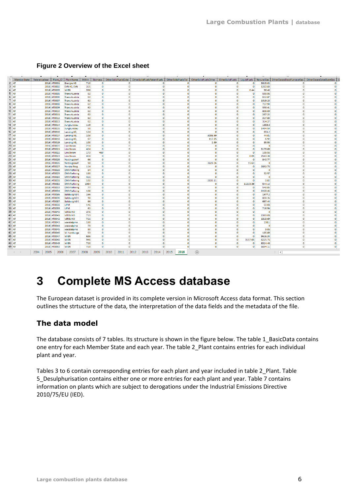| $\overline{1}$<br>MemberState | ReferenceYear              | Plant ID   PlantName             | <b>MWth</b> |                       |                       | Biomass OtherSolidFuelsCoke OtherSolidFuelsPatentFuels OtherSolidFuelsTar |                      | OtherSolidFuelsOther |                     |                    |                    | OtherSolidFuels   LiquidFuels   NaturalGas   OtherGasesBlastFurnaceGas   OtherGasesCokeOvenGas |                      |
|-------------------------------|----------------------------|----------------------------------|-------------|-----------------------|-----------------------|---------------------------------------------------------------------------|----------------------|----------------------|---------------------|--------------------|--------------------|------------------------------------------------------------------------------------------------|----------------------|
| $2$ AT                        | 2016 AT0001                | <b>Energie AG</b>                | 710         | $\bullet$             | $\bullet$             | $\Omega$                                                                  | $\circ$              | $\Omega$             | $\circ$             | $\circ$            | 3815.02            | $\bullet$                                                                                      | $\circ$              |
| $3$ AT                        | 2016 AT0002                | EVN AG, EVN                      | 325         | $\bullet$             | $\bullet$             | $\circ$                                                                   | $\circ$              | $\bullet$            | $\circ$             | $\bullet$          | 1283.83            | $\bullet$                                                                                      | $\circ$              |
| $4$ AT                        | 2016 AT0003                | WIEN                             | 358         | $\bullet$             | $\bullet$             | $\Omega$                                                                  | $\Omega$             | $\Omega$             | $\Omega$            | 0.44               | 56.43              | $\Omega$                                                                                       | $\bullet$            |
| $5$ AT                        | 2016 AT0005                | <b>Trans Austria</b>             | 62          | $\Omega$              | $\Omega$              | $\Omega$                                                                  | $\Omega$             | $\Omega$             | $\Omega$            | $\Omega$           | 599.96             | $\Omega$                                                                                       | $\circ$              |
| $6$ AT                        | 2016 AT0006                | <b>Trans Austria</b>             | 62          | $\Omega$              | $\Omega$              | $\Omega$                                                                  | $\Omega$             | $\Omega$             | $\Omega$            | $\Omega$           | 612.87             | $\Omega$                                                                                       | $\circ$              |
| 7 <sub>AT</sub>               | 2016 AT0007                | <b>Trans Austria</b>             | 62          | $\circ$               | $\circ$               | $\Omega$                                                                  | $\Omega$             | $\Omega$             | $\Omega$            | $\circ$            | 1019.23            | $\circ$                                                                                        | $\circ$              |
| $8$ AT                        | 2016 AT0008                | <b>Trans Austria</b>             | 62          | $\Omega$              | $\bullet$             | $\Omega$                                                                  | $\Omega$             | $\Omega$             | $\Omega$            | $\Omega$           | 727.94             | $\circ$                                                                                        | $\circ$              |
| $9$ AT                        | 2016 AT0009                | <b>Trans Austria</b>             | 62          | $\bullet$             | $\bullet$             | $\circ$                                                                   | $\circ$              | $\bullet$            | $\circ$             | $\circ$            | 338.41             | $\bullet$                                                                                      | $\circ$              |
| $10$ AT                       | 2016 AT0010                | <b>Trans Austria</b>             | 62          | $\bullet$             | $\bullet$             | $\Omega$                                                                  | $\Omega$             | $\Omega$             | $\Omega$            | $\bullet$          | 808.09             | $\bullet$                                                                                      | $\bullet$            |
| $11$ AT                       | 2016 AT0011                | <b>Trans Austria</b>             | 62          | $\bullet$             | $\bullet$             | $\Omega$                                                                  | $\Omega$             | $\Omega$             | $\Omega$            | $\bullet$          | 267.22             | $\bullet$                                                                                      | $\bullet$            |
| $12$ AT                       | 2016 AT0012                | <b>Trans Austria</b>             | 62          | $\bullet$             | $\circ$               | $\Omega$                                                                  | $\Omega$             | $\Omega$             | $\circ$             | $\circ$            | 327.83             | $\circ$                                                                                        | $\circ$              |
| $13$ AT                       | 2016 AT0013                | <b>Trans Austria</b>             | 62          | $\Omega$              | $\bullet$             | $\circ$                                                                   | $\Omega$             | $\Omega$             | $\Omega$            | $\Omega$           | 314.27             | $\bullet$                                                                                      | $\circ$              |
| 14 AT                         | 2016 AT0014                | Jungbunzlau                      | 119         | $\Omega$              | $\circ$               | $\Omega$                                                                  | $\Omega$             | $\Omega$             | $\Omega$            | $\Omega$           | 1853.6             | $\bullet$                                                                                      | $\circ$              |
| $15$ AT                       | 2016 AT0015                | Jungbunzlau                      | 50          | $\mathbf{O}$          | $\bullet$             | $\Omega$                                                                  | $\circ$              | $\Omega$             | $\circ$             | $\circ$            | 1494.54            | $\bullet$                                                                                      | $\bullet$            |
| $16$ AT                       | 2016 AT0016                | Lenzing AG,                      | 124         | $\bullet$             | $\bullet$             | $\Omega$                                                                  | $\bullet$            | $\Omega$             | $\circ$             | $\circ$            | 651.2              | $\bullet$                                                                                      | $\bullet$            |
| 17 AT                         | 2016 AT0017                | Lenzing AG,                      | 103         | $\Omega$              | $\Omega$              | $\Omega$                                                                  | $\Omega$             | 3008.99              | $\Omega$            | $\circ$            | 44.01              | $\Omega$                                                                                       | $\bullet$            |
| 18 AT                         | 2016 AT0018                | Lenzing AG,                      | 67          | $\Omega$              | $\Omega$              | $\Omega$                                                                  | $\Omega$             | 117.65               | $\Omega$            | $\Omega$           | 6.92               | $\Omega$                                                                                       | $\circ$              |
| $19$ AT                       | 2016 AT0019                | Lenzing AG,                      | 100         | $\circ$               | $\circ$               | $\Omega$                                                                  | $\Omega$             | 2.59                 | $\Omega$            | $\Omega$           | 85.55              | $\circ$                                                                                        | $\circ$              |
| 20 AT                         | 2016 AT0020                | <b>Linz Strom</b>                | 214         | $\bullet$             | $\circ$               | $\Omega$                                                                  | $\Omega$             | $\Omega$             | $\Omega$            | $\circ$            | $\Omega$           | $\bullet$                                                                                      | $\circ$              |
| $21$ AT                       | 2016 AT0021                | <b>Linz Strom</b>                | 424         | $\bullet$             | $\bullet$             | $\circ$                                                                   | $\circ$              | $\mathbf{O}$         | $\circ$             | $\bullet$          | 3179.69            | $\bullet$                                                                                      | $\circ$              |
| 22 AT                         | 2016 AT0022                | <b>Linz Strom</b>                | 173         | 469                   | $\Omega$              | $\Omega$                                                                  | $\Omega$             | $\Omega$             | $\Omega$            | $\Omega$           | 109.56             | $\Omega$                                                                                       | $\circ$              |
| 23 AT                         | 2016 AT0023                | <b>Linz Strom</b>                | 418         | $\bullet$             | $\bullet$             | $\Omega$                                                                  | $\Omega$             | $\Omega$             | $\circ$             | 0.05               | 2543.34            | $\bullet$                                                                                      | $\bullet$            |
| 24 AT                         | 2016 AT0025                | Nettingsdorf                     | 66          | $\bullet$             | $\circ$               | $\Omega$                                                                  | $\Omega$             | $\Omega$             | $\circ$             | $\circ$            | 840.77             | $\circ$                                                                                        | $\circ$              |
| 25 AT                         | 2016 AT0026                | Nettingsdorf                     | 98          | $\Omega$              | $\Omega$              | $\Omega$                                                                  | $\circ$              | 3628.26              | $\Omega$            | 15.63              | $\Omega$           | $\Omega$                                                                                       | $\circ$              |
| 26 AT                         | 2016 AT0027                | <b>Norske Skog</b>               | 114         | $\Omega$              | $\bullet$             | $\Omega$                                                                  | $\Omega$             | $\Omega$             | $\Omega$            | $\Omega$           | 2832.73            | $\Omega$                                                                                       | $\circ$              |
| $27$ AT                       | 2016 AT0028                | <b>OMV Refining</b>              | 84          | $\mathbf{O}$          | $\bullet$             | $\circ$                                                                   | $\circ$              | $\mathbf{O}$         | $\circ$             | $\circ$            | $\Omega$           | $\circ$                                                                                        | $\bullet$            |
| 28 AT                         | 2016 AT0029                | <b>OMV Refining</b>              | 180         | $\bullet$             | $\bullet$             | $\circ$                                                                   | $\circ$              | $\Omega$             | $\circ$             | $\circ$            | 32.57              | $\bullet$                                                                                      | $\bullet$            |
| 29 AT                         | 2016 AT0030                | <b>OMV Refining</b>              | 421         | $\bullet$             | $\bullet$             | $\Omega$                                                                  | $\bullet$            | $\Omega$             | $\Omega$            | $\circ$            | $\Omega$           | $\bullet$                                                                                      | $\bullet$            |
| 30 AT                         | 2016 AT0031                | <b>OMV Refining</b>              | 102         | $\Omega$              | $\Omega$              | $\Omega$                                                                  | $\Omega$             | 2635.11              | $\Omega$            | $\circ$            | 0.02               | $\Omega$                                                                                       | $\circ$              |
| 31 AT                         | 2016 AT0032                | <b>OMV Refining</b>              | 1064        | $\Omega$              | $\Omega$              | $\Omega$                                                                  | $\Omega$             | $\Omega$             | $\Omega$            | 11213.39           | 544.12             | $\Omega$                                                                                       | $\circ$              |
| 32 AT                         | 2016 AT0033                | <b>OMV Refining</b>              | 77          | $\Omega$              | $\Omega$              | $\Omega$                                                                  | $\Omega$             | $\Omega$             | $\Omega$            | $\Omega$           | 548.85             | $\Omega$                                                                                       | $\circ$              |
| 33 AT                         | 2016 AT0034                | <b>OMV Refining</b>              | 108         | $\mathbf{O}$          | $\bullet$             | $\circ$                                                                   | $\circ$              | $\mathbf{O}$         | $\circ$             | $\circ$            | 2228.45            | $\bullet$                                                                                      | $\circ$              |
| 34 AT                         | 2016 AT0035                | Salzburg AG f.                   | 166         | $\bullet$             | $\bullet$             | $\Omega$                                                                  | $\Omega$             | $\Omega$             | $\Omega$            | $\bullet$          | 1977.2             | $\bullet$                                                                                      | $\bullet$            |
| 35 AT                         | 2016 AT0036                | Salzburg AG f.                   | 98          | $\Omega$              | $\Omega$              | $\Omega$                                                                  | $\Omega$             | $\Omega$             | $\Omega$            | $\Omega$           | 838.35             | $\Omega$                                                                                       | $\bullet$            |
| 36 AT                         | 2016 AT0037                | Salzburg AG f.                   | 66          | $\bullet$             | $\circ$               | $\Omega$<br>$\Omega$                                                      | $\circ$              | $\Omega$             | $\circ$             | $\circ$            | 697.44             | $\circ$<br>$\Omega$                                                                            | $\circ$              |
| 37 AT                         | 2016 AT0038                | <b>UPM</b>                       | 146         | $\circ$               | $\circ$               | $\Omega$                                                                  | $\Omega$<br>$\Omega$ | $\Omega$             | $\Omega$            | $\circ$            | 50.08              |                                                                                                | $\circ$              |
| 38 AT<br>39 AT                | 2016 AT0039                | <b>UPM</b>                       | 62<br>376   | $\bullet$<br>$\Omega$ | $\Omega$<br>$\bullet$ | $\Omega$                                                                  | $\circ$              | $\Omega$<br>$\Omega$ | $\Omega$<br>$\circ$ | $\circ$<br>$\circ$ | 716.94<br>$\Omega$ | $\Omega$<br>$\circ$                                                                            | $\circ$              |
| 40 AT                         | 2016 AT0040                | <b>VERBUND</b><br><b>VERBUND</b> | 713         | $\bullet$             | $\bullet$             | $\circ$                                                                   | $\circ$              | $\bullet$            | $\circ$             | $\bullet$          | 2383.08            | $\bullet$                                                                                      | $\circ$<br>$\bullet$ |
| 41 AT                         | 2016 AT0041<br>2016 AT0042 | <b>VERBUND</b>                   | 721         | $\bullet$             | $\bullet$             | $\Omega$                                                                  | $\Omega$             | $\Omega$             | $\Omega$            | $\bullet$          | 1813.69            | $\bullet$                                                                                      | $\bullet$            |
| 42 AT                         | 2016 AT0043                |                                  | 180         | $\Omega$              | $\Omega$              | $\Omega$                                                                  | $\Omega$             | $\Omega$             | $\Omega$            | $\circ$            | 138.1              | $\Omega$                                                                                       | $\circ$              |
| 43 AT                         | 2016 AT0044                | voestalpine                      | 73          | $\Omega$              | $\circ$               | $\Omega$                                                                  | $\Omega$             | $\Omega$             | $\Omega$            | $\Omega$           | $\circ$            | $\circ$                                                                                        | $\Omega$             |
| 44 AT                         | 2016 AT0045                | voestalpine<br>voestalpine       | 80          | $\Omega$              | $\Omega$              | $\Omega$                                                                  | $\Omega$             | $\Omega$             | $\Omega$            | $\Omega$           | 9.06               | $\Omega$                                                                                       | $\circ$              |
| 45 AT                         | 2016 AT0046                |                                  | 53          | $\bullet$             | $\bullet$             | $\circ$                                                                   | $\circ$              | $\mathbf{O}$         | $\circ$             | $\circ$            | 185.89             | $\bullet$                                                                                      | $\circ$              |
| 46 AT                         | 2016 AT0047                | W.Hamburge<br><b>WIEN</b>        | 686         | $\bullet$             | $\bullet$             | $\Omega$                                                                  | $\Omega$             | $\Omega$             | $\circ$             | $\circ$            | 9616.34            | $\bullet$                                                                                      | $\bullet$            |
| 47 AT                         |                            | WIEN                             | 946         | $\bullet$             | $\bullet$             | $\Omega$                                                                  | $\Omega$             | $\Omega$             | $\circ$             | 3157.65            | 6225.76            | $\bullet$                                                                                      | $\bullet$            |
| 48 AT                         | 2016 AT0048<br>2016 AT0049 | WIEN                             | 720         | $\bullet$             | $\circ$               | $\Omega$                                                                  | $\Omega$             | $\Omega$             | $\circ$             | $\circ$            | 6324.46            | $\circ$                                                                                        | $\circ$              |
| 49 AT                         | 2016 AT0050                | WIEN                             | 720         | $\Omega$              | $\Omega$              | $\Omega$                                                                  | $\Omega$             | $\Omega$             | $\Omega$            | $\circ$            | 6694.11            | ö                                                                                              | $\circ$              |
|                               |                            |                                  |             |                       |                       |                                                                           |                      |                      |                     |                    |                    |                                                                                                |                      |
|                               | 2004<br>2005<br>2006       | 2007                             | 2008        | 2009                  | 2010<br>2011          | 2012<br>2013<br>2014                                                      | 2015<br>2016         | $\bigoplus$          |                     |                    |                    | $\boxed{4}$                                                                                    |                      |

### <span id="page-5-2"></span>**Figure 2 Overview of the Excel sheet**

## <span id="page-5-0"></span>**3 Complete MS Access database**

The European dataset is provided in its complete version in Microsoft Access data format. This section outlines the strtucture of the data, the interpretation of the data fields and the metadata of the file.

## <span id="page-5-1"></span>**The data model**

The database consists of 7 tables. Its structure is shown in the figure below. The table 1\_BasicData contains one entry for each Member State and each year. The table 2\_Plant contains entries for each individual plant and year.

Tables 3 to 6 contain corresponding entries for each plant and year included in table 2\_Plant. Table 5\_Desulphurisation contains either one or more entries for each plant and year. Table 7 contains information on plants which are subject to derogations under the Industrial Emissions Directive 2010/75/EU (IED).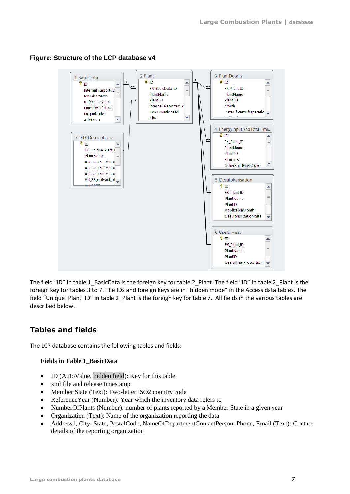

### **Figure: Structure of the LCP database v4**

The field "ID" in table 1\_BasicData is the foreign key for table 2\_Plant. The field "ID" in table 2\_Plant is the foreign key for tables 3 to 7. The IDs and foreign keys are in "hidden mode" in the Access data tables. The field "Unique\_Plant\_ID" in table 2\_Plant is the foreign key for table 7. All fields in the various tables are described below.

## <span id="page-6-0"></span>**Tables and fields**

The LCP database contains the following tables and fields:

### **Fields in Table 1\_BasicData**

- ID (AutoValue, hidden field): Key for this table
- xml file and release timestamp
- Member State (Text): Two-letter ISO2 country code
- ReferenceYear (Number): Year which the inventory data refers to
- NumberOfPlants (Number): number of plants reported by a Member State in a given year
- Organization (Text): Name of the organization reporting the data
- Address1, City, State, PostalCode, NameOfDepartmentContactPerson, Phone, Email (Text): Contact details of the reporting organization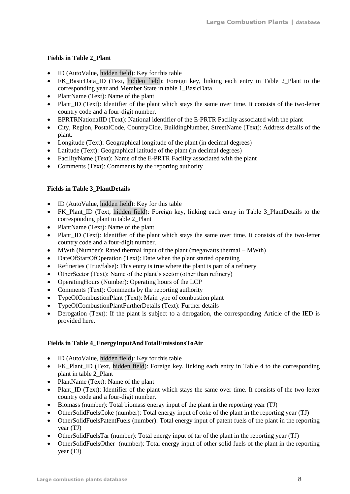### **Fields in Table 2\_Plant**

- ID (AutoValue, hidden field): Key for this table
- FK BasicData ID (Text, hidden field): Foreign key, linking each entry in Table 2 Plant to the corresponding year and Member State in table 1\_BasicData
- PlantName (Text): Name of the plant
- Plant\_ID (Text): Identifier of the plant which stays the same over time. It consists of the two-letter country code and a four-digit number.
- EPRTRNationalID (Text): National identifier of the E-PRTR Facility associated with the plant
- City, Region, PostalCode, CountryCide, BuildingNumber, StreetName (Text): Address details of the plant.
- Longitude (Text): Geographical longitude of the plant (in decimal degrees)
- Latitude (Text): Geographical latitude of the plant (in decimal degrees)
- FacilityName (Text): Name of the E-PRTR Facility associated with the plant
- Comments (Text): Comments by the reporting authority

### **Fields in Table 3\_PlantDetails**

- ID (AutoValue, hidden field): Key for this table
- FK Plant ID (Text, hidden field): Foreign key, linking each entry in Table 3 PlantDetails to the corresponding plant in table 2\_Plant
- PlantName (Text): Name of the plant
- Plant ID (Text): Identifier of the plant which stays the same over time. It consists of the two-letter country code and a four-digit number.
- MWth (Number): Rated thermal input of the plant (megawatts thermal MWth)
- DateOfStartOfOperation (Text): Date when the plant started operating
- Refineries (True/false): This entry is true where the plant is part of a refinery
- OtherSector (Text): Name of the plant's sector (other than refinery)
- OperatingHours (Number): Operating hours of the LCP
- Comments (Text): Comments by the reporting authority
- TypeOfCombustionPlant (Text): Main type of combustion plant
- TypeOfCombustionPlantFurtherDetails (Text): Further details
- Derogation (Text): If the plant is subject to a derogation, the corresponding Article of the IED is provided here.

### **Fields in Table 4\_EnergyInputAndTotalEmissionsToAir**

- ID (AutoValue, hidden field): Key for this table
- FK\_Plant\_ID (Text, hidden field): Foreign key, linking each entry in Table 4 to the corresponding plant in table 2\_Plant
- PlantName (Text): Name of the plant
- Plant ID (Text): Identifier of the plant which stays the same over time. It consists of the two-letter country code and a four-digit number.
- Biomass (number): Total biomass energy input of the plant in the reporting year (TJ)
- OtherSolidFuelsCoke (number): Total energy input of coke of the plant in the reporting year (TJ)
- OtherSolidFuelsPatentFuels (number): Total energy input of patent fuels of the plant in the reporting year (TJ)
- OtherSolidFuelsTar (number): Total energy input of tar of the plant in the reporting year (TJ)
- OtherSolidFuelsOther (number): Total energy input of other solid fuels of the plant in the reporting year (TJ)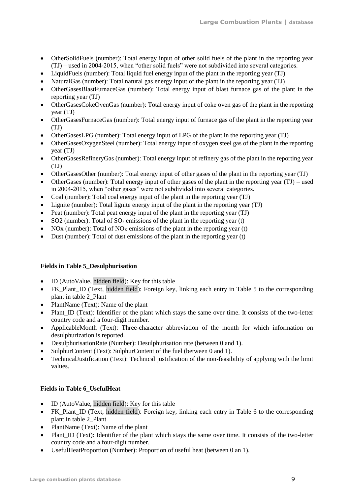- OtherSolidFuels (number): Total energy input of other solid fuels of the plant in the reporting year (TJ) – used in 2004-2015, when "other solid fuels" were not subdivided into several categories.
- LiquidFuels (number): Total liquid fuel energy input of the plant in the reporting year (TJ)
- NaturalGas (number): Total natural gas energy input of the plant in the reporting year (TJ)
- OtherGasesBlastFurnaceGas (number): Total energy input of blast furnace gas of the plant in the reporting year (TJ)
- OtherGasesCokeOvenGas (number): Total energy input of coke oven gas of the plant in the reporting year (TJ)
- OtherGasesFurnaceGas (number): Total energy input of furnace gas of the plant in the reporting year (TJ)
- OtherGasesLPG (number): Total energy input of LPG of the plant in the reporting year (TJ)
- OtherGasesOxygenSteel (number): Total energy input of oxygen steel gas of the plant in the reporting year (TJ)
- OtherGasesRefineryGas (number): Total energy input of refinery gas of the plant in the reporting year (TJ)
- OtherGasesOther (number): Total energy input of other gases of the plant in the reporting year (TJ)
- OtherGases (number): Total energy input of other gases of the plant in the reporting year (TJ) used in 2004-2015, when "other gases" were not subdivided into several categories.
- Coal (number): Total coal energy input of the plant in the reporting year (TJ)
- Lignite (number): Total lignite energy input of the plant in the reporting year (TJ)
- Peat (number): Total peat energy input of the plant in the reporting year (TJ)
- SO2 (number): Total of  $SO<sub>2</sub>$  emissions of the plant in the reporting year (t)
- NOx (number): Total of NO<sub>x</sub> emissions of the plant in the reporting year (t)
- Dust (number): Total of dust emissions of the plant in the reporting year  $(t)$

#### **Fields in Table 5\_Desulphurisation**

- ID (AutoValue, hidden field): Key for this table
- FK\_Plant\_ID (Text, hidden field): Foreign key, linking each entry in Table 5 to the corresponding plant in table 2\_Plant
- PlantName (Text): Name of the plant
- Plant ID (Text): Identifier of the plant which stays the same over time. It consists of the two-letter country code and a four-digit number.
- ApplicableMonth (Text): Three-character abbreviation of the month for which information on desulphurization is reported.
- DesulphurisationRate (Number): Desulphurisation rate (between 0 and 1).
- SulphurContent (Text): SulphurContent of the fuel (between 0 and 1).
- TechnicalJustification (Text): Technical justification of the non-feasibility of applying with the limit values.

#### **Fields in Table 6\_UsefulHeat**

- ID (AutoValue, hidden field): Key for this table
- FK Plant ID (Text, hidden field): Foreign key, linking each entry in Table 6 to the corresponding plant in table 2\_Plant
- PlantName (Text): Name of the plant
- Plant\_ID (Text): Identifier of the plant which stays the same over time. It consists of the two-letter country code and a four-digit number.
- UsefulHeatProportion (Number): Proportion of useful heat (between 0 an 1).